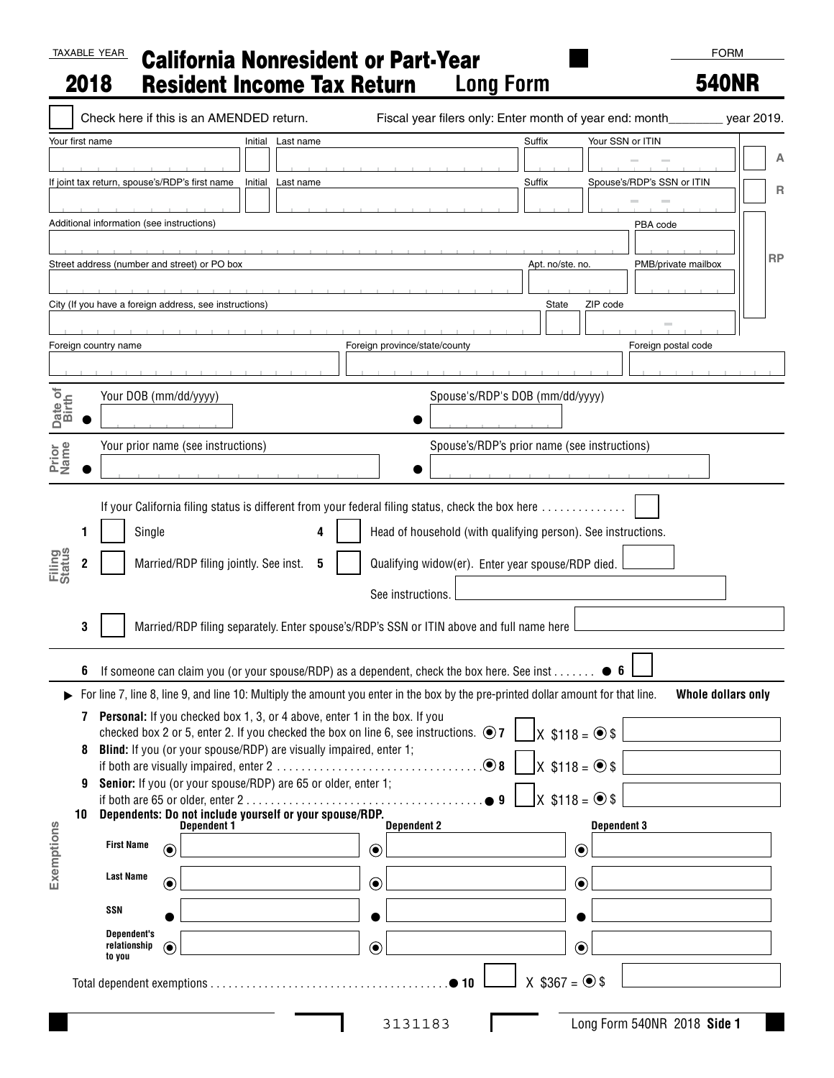## TAXABLE YEAR California Nonresident or Part-Year 2018 Resident Income Tax Return **Long Form**

## 540NR

|                                         |                                                                                    | Check here if this is an AMENDED return.                                                                                                                                                                           |         |                                       |         |                                                                        |           |  |                    | Fiscal year filers only: Enter month of year end: month________ year 2019.                                                                                                                                                                          |        |                                                                                   |                  |                    |  |                             |                    |           |
|-----------------------------------------|------------------------------------------------------------------------------------|--------------------------------------------------------------------------------------------------------------------------------------------------------------------------------------------------------------------|---------|---------------------------------------|---------|------------------------------------------------------------------------|-----------|--|--------------------|-----------------------------------------------------------------------------------------------------------------------------------------------------------------------------------------------------------------------------------------------------|--------|-----------------------------------------------------------------------------------|------------------|--------------------|--|-----------------------------|--------------------|-----------|
| Your first name<br>Initial<br>Last name |                                                                                    |                                                                                                                                                                                                                    |         |                                       |         |                                                                        |           |  |                    |                                                                                                                                                                                                                                                     | Suffix |                                                                                   | Your SSN or ITIN |                    |  |                             |                    |           |
|                                         |                                                                                    |                                                                                                                                                                                                                    |         |                                       |         |                                                                        |           |  |                    |                                                                                                                                                                                                                                                     |        |                                                                                   |                  |                    |  |                             |                    | А         |
|                                         |                                                                                    | If joint tax return, spouse's/RDP's first name                                                                                                                                                                     |         |                                       | Initial |                                                                        | Last name |  |                    |                                                                                                                                                                                                                                                     |        | Suffix                                                                            |                  |                    |  | Spouse's/RDP's SSN or ITIN  |                    | R         |
|                                         |                                                                                    | Additional information (see instructions)                                                                                                                                                                          |         |                                       |         |                                                                        |           |  |                    |                                                                                                                                                                                                                                                     |        |                                                                                   |                  |                    |  | PBA code                    |                    |           |
|                                         |                                                                                    |                                                                                                                                                                                                                    |         |                                       |         |                                                                        |           |  |                    |                                                                                                                                                                                                                                                     |        |                                                                                   |                  |                    |  |                             |                    |           |
|                                         |                                                                                    | Street address (number and street) or PO box                                                                                                                                                                       |         |                                       |         |                                                                        |           |  |                    |                                                                                                                                                                                                                                                     |        | Apt. no/ste. no.                                                                  |                  |                    |  | PMB/private mailbox         |                    | <b>RP</b> |
|                                         |                                                                                    |                                                                                                                                                                                                                    |         |                                       |         |                                                                        |           |  |                    |                                                                                                                                                                                                                                                     |        |                                                                                   |                  |                    |  |                             |                    |           |
|                                         |                                                                                    | City (If you have a foreign address, see instructions)                                                                                                                                                             |         |                                       |         |                                                                        |           |  |                    |                                                                                                                                                                                                                                                     |        | State                                                                             |                  | ZIP code           |  |                             |                    |           |
|                                         |                                                                                    |                                                                                                                                                                                                                    |         |                                       |         |                                                                        |           |  |                    |                                                                                                                                                                                                                                                     |        |                                                                                   |                  |                    |  |                             |                    |           |
|                                         |                                                                                    | Foreign country name                                                                                                                                                                                               |         |                                       |         |                                                                        |           |  |                    | Foreign province/state/county                                                                                                                                                                                                                       |        |                                                                                   |                  |                    |  | Foreign postal code         |                    |           |
|                                         |                                                                                    |                                                                                                                                                                                                                    |         |                                       |         |                                                                        |           |  |                    |                                                                                                                                                                                                                                                     |        |                                                                                   |                  |                    |  |                             |                    |           |
| Date of<br>Birth                        |                                                                                    | Your DOB (mm/dd/yyyy)<br>Spouse's/RDP's DOB (mm/dd/yyyy)                                                                                                                                                           |         |                                       |         |                                                                        |           |  |                    |                                                                                                                                                                                                                                                     |        |                                                                                   |                  |                    |  |                             |                    |           |
|                                         |                                                                                    |                                                                                                                                                                                                                    |         |                                       |         |                                                                        |           |  |                    |                                                                                                                                                                                                                                                     |        |                                                                                   |                  |                    |  |                             |                    |           |
|                                         | Spouse's/RDP's prior name (see instructions)<br>Your prior name (see instructions) |                                                                                                                                                                                                                    |         |                                       |         |                                                                        |           |  |                    |                                                                                                                                                                                                                                                     |        |                                                                                   |                  |                    |  |                             |                    |           |
| Prior<br>Name                           |                                                                                    |                                                                                                                                                                                                                    |         |                                       |         |                                                                        |           |  |                    |                                                                                                                                                                                                                                                     |        |                                                                                   |                  |                    |  |                             |                    |           |
| <b>Filing</b><br>Status                 | 3                                                                                  | Single                                                                                                                                                                                                             |         | Married/RDP filing jointly. See inst. |         |                                                                        | 5         |  |                    | Head of household (with qualifying person). See instructions.<br>Qualifying widow(er). Enter year spouse/RDP died.<br>See instructions.<br>Married/RDP filing separately. Enter spouse's/RDP's SSN or ITIN above and full name here                 |        |                                                                                   |                  |                    |  |                             |                    |           |
|                                         | b                                                                                  |                                                                                                                                                                                                                    |         |                                       |         |                                                                        |           |  |                    | If someone can claim you (or your spouse/RDP) as a dependent, check the box here. See inst $\bullet$ 6                                                                                                                                              |        |                                                                                   |                  |                    |  |                             |                    |           |
|                                         | 8<br>9<br>10                                                                       | 7 Personal: If you checked box 1, 3, or 4 above, enter 1 in the box. If you<br>Blind: If you (or your spouse/RDP) are visually impaired, enter 1;<br>Senior: If you (or your spouse/RDP) are 65 or older, enter 1; |         |                                       |         |                                                                        |           |  |                    | For line 7, line 8, line 9, and line 10: Multiply the amount you enter in the box by the pre-printed dollar amount for that line.<br>checked box 2 or 5, enter 2. If you checked the box on line 6, see instructions. $\odot$ 7<br>$\bullet$ 8<br>9 |        | $X$ \$118 = $\circledcirc$ \$<br>$X$ \$118 = $\odot$ \$<br>$X$ \$118 = $\odot$ \$ |                  |                    |  |                             | Whole dollars only |           |
| Exemptions                              |                                                                                    | <b>First Name</b>                                                                                                                                                                                                  |         |                                       |         | Dependents: Do not include yourself or your spouse/RDP.<br>Dependent 1 |           |  | <b>Dependent 2</b> |                                                                                                                                                                                                                                                     |        |                                                                                   |                  | <b>Dependent 3</b> |  |                             |                    |           |
|                                         |                                                                                    |                                                                                                                                                                                                                    | $\odot$ |                                       |         |                                                                        |           |  | $\odot$            |                                                                                                                                                                                                                                                     |        |                                                                                   | $\odot$          |                    |  |                             |                    |           |
|                                         |                                                                                    | <b>Last Name</b>                                                                                                                                                                                                   | $\odot$ |                                       |         |                                                                        |           |  | $\odot$            |                                                                                                                                                                                                                                                     |        |                                                                                   | $\odot$          |                    |  |                             |                    |           |
|                                         |                                                                                    | SSN                                                                                                                                                                                                                |         |                                       |         |                                                                        |           |  |                    |                                                                                                                                                                                                                                                     |        |                                                                                   |                  |                    |  |                             |                    |           |
|                                         |                                                                                    | <b>Dependent's</b><br>relationship<br>to you                                                                                                                                                                       | $\odot$ |                                       |         |                                                                        |           |  | $\odot$            |                                                                                                                                                                                                                                                     |        |                                                                                   | $\odot$          |                    |  |                             |                    |           |
|                                         |                                                                                    |                                                                                                                                                                                                                    |         |                                       |         |                                                                        |           |  |                    |                                                                                                                                                                                                                                                     |        | $X$ \$367 = $\odot$ \$                                                            |                  |                    |  |                             |                    |           |
|                                         |                                                                                    |                                                                                                                                                                                                                    |         |                                       |         |                                                                        |           |  |                    | 3131183                                                                                                                                                                                                                                             |        |                                                                                   |                  |                    |  | Long Form 540NR 2018 Side 1 |                    |           |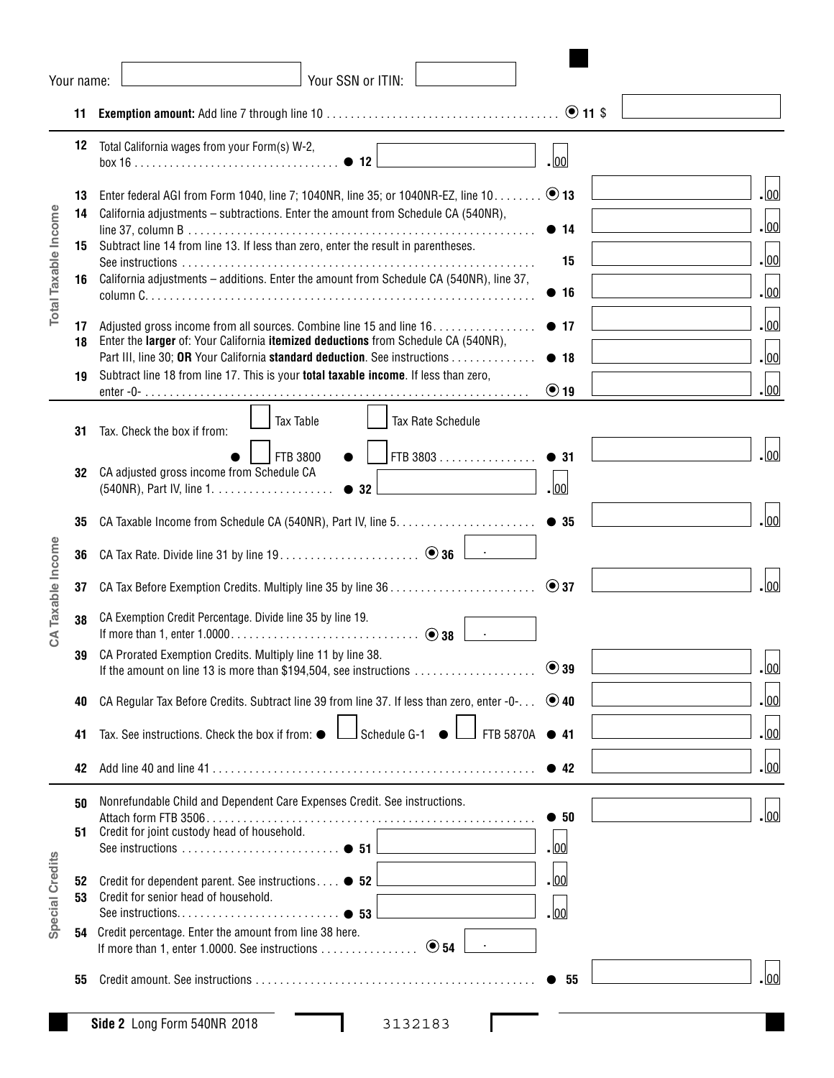|                      | Your name:           | Your SSN or ITIN:                                                                                                                                                                                                                                                                                                                                            |                                                          |  |  |  |  |  |  |  |  |  |  |  |  |
|----------------------|----------------------|--------------------------------------------------------------------------------------------------------------------------------------------------------------------------------------------------------------------------------------------------------------------------------------------------------------------------------------------------------------|----------------------------------------------------------|--|--|--|--|--|--|--|--|--|--|--|--|
|                      | 11                   |                                                                                                                                                                                                                                                                                                                                                              |                                                          |  |  |  |  |  |  |  |  |  |  |  |  |
|                      | 12                   | Total California wages from your Form(s) W-2,<br>$box 16$ $\bullet$ 12                                                                                                                                                                                                                                                                                       | $\log$                                                   |  |  |  |  |  |  |  |  |  |  |  |  |
| Total Taxable Income | 13<br>14<br>15<br>16 | Enter federal AGI from Form 1040, line 7; 1040NR, line 35; or 1040NR-EZ, line 10. 0 13<br>California adjustments - subtractions. Enter the amount from Schedule CA (540NR),<br>Subtract line 14 from line 13. If less than zero, enter the result in parentheses.<br>California adjustments - additions. Enter the amount from Schedule CA (540NR), line 37, | - 00<br>.  00 <br>• 14<br>.  00 <br>15<br>$\log$<br>• 16 |  |  |  |  |  |  |  |  |  |  |  |  |
|                      | 17<br>18<br>19       | Adjusted gross income from all sources. Combine line 15 and line 16.<br>Enter the larger of: Your California itemized deductions from Schedule CA (540NR),<br>Part III, line 30; OR Your California standard deduction. See instructions<br>Subtract line 18 from line 17. This is your total taxable income. If less than zero,                             | $\log$<br>• 17<br>$\log$<br>• 18<br>.  00 <br>$\odot$ 19 |  |  |  |  |  |  |  |  |  |  |  |  |
|                      | 31                   | <b>Tax Table</b><br>Tax Rate Schedule<br>Tax. Check the box if from:                                                                                                                                                                                                                                                                                         |                                                          |  |  |  |  |  |  |  |  |  |  |  |  |
|                      | 32                   | FTB 3803<br>FTB 3800<br>$\bullet$<br>CA adjusted gross income from Schedule CA<br>$\bullet$ 32                                                                                                                                                                                                                                                               | .lool<br>• 31<br>.  00                                   |  |  |  |  |  |  |  |  |  |  |  |  |
|                      | 35                   |                                                                                                                                                                                                                                                                                                                                                              | .  00                                                    |  |  |  |  |  |  |  |  |  |  |  |  |
|                      | 36                   |                                                                                                                                                                                                                                                                                                                                                              |                                                          |  |  |  |  |  |  |  |  |  |  |  |  |
|                      | 37                   |                                                                                                                                                                                                                                                                                                                                                              | . lool<br>$\odot$ 37                                     |  |  |  |  |  |  |  |  |  |  |  |  |
| CA Taxable Income    | 38                   | CA Exemption Credit Percentage. Divide line 35 by line 19.                                                                                                                                                                                                                                                                                                   |                                                          |  |  |  |  |  |  |  |  |  |  |  |  |
|                      | 39                   | CA Prorated Exemption Credits. Multiply line 11 by line 38.<br>If the amount on line 13 is more than \$194,504, see instructions                                                                                                                                                                                                                             | 00<br>$\odot$ 39                                         |  |  |  |  |  |  |  |  |  |  |  |  |
|                      | 40                   | CA Regular Tax Before Credits. Subtract line 39 from line 37. If less than zero, enter -0- $\dots$ $\bullet$ 40                                                                                                                                                                                                                                              | <u>. lool</u>                                            |  |  |  |  |  |  |  |  |  |  |  |  |
|                      | 41                   | Tax. See instructions. Check the box if from: ●<br>Schedule G-1<br>FTB 5870A                                                                                                                                                                                                                                                                                 | <u>. lool</u><br>$\bullet$ 41                            |  |  |  |  |  |  |  |  |  |  |  |  |
|                      | 42                   |                                                                                                                                                                                                                                                                                                                                                              | - 00<br>$\bullet$ 42                                     |  |  |  |  |  |  |  |  |  |  |  |  |
| Special Credits      | 50<br>51             | Nonrefundable Child and Dependent Care Expenses Credit. See instructions.<br>Credit for joint custody head of household.                                                                                                                                                                                                                                     | . 00<br>$\bullet$ 50<br>- 00                             |  |  |  |  |  |  |  |  |  |  |  |  |
|                      | 52<br>53             | Credit for dependent parent. See instructions ● 52<br>Credit for senior head of household.<br>$\bullet$ 53                                                                                                                                                                                                                                                   | - 00<br>- 100                                            |  |  |  |  |  |  |  |  |  |  |  |  |
|                      | 54                   | Credit percentage. Enter the amount from line 38 here.                                                                                                                                                                                                                                                                                                       |                                                          |  |  |  |  |  |  |  |  |  |  |  |  |
|                      | 55                   |                                                                                                                                                                                                                                                                                                                                                              | 00 <br>55                                                |  |  |  |  |  |  |  |  |  |  |  |  |
|                      |                      | Side 2 Long Form 540NR 2018<br>3132183                                                                                                                                                                                                                                                                                                                       |                                                          |  |  |  |  |  |  |  |  |  |  |  |  |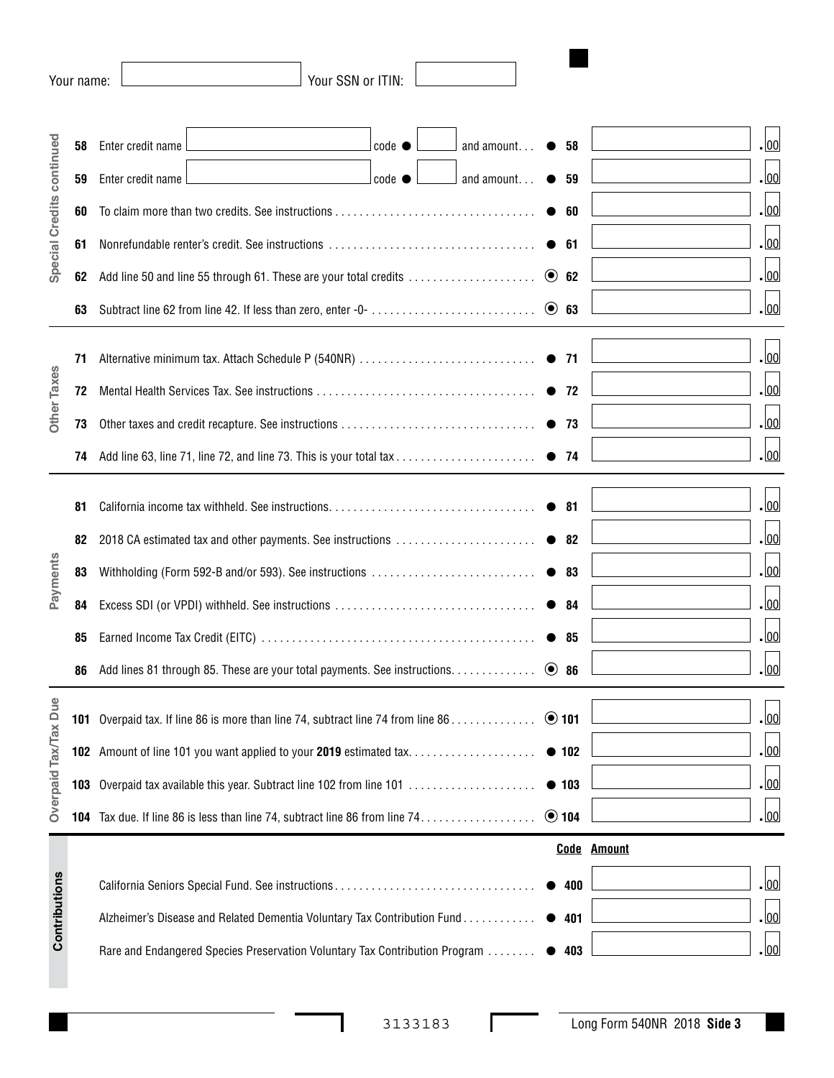|                           | Your name: |                                                                              | Your SSN or ITIN: |                      |              |                    |
|---------------------------|------------|------------------------------------------------------------------------------|-------------------|----------------------|--------------|--------------------|
|                           |            |                                                                              |                   |                      |              |                    |
| Special Credits continued | 58         | Enter credit name                                                            | $code \odot$      | and amount $\bullet$ | - 58         | . 00               |
|                           | 59         | Enter credit name                                                            | $ code\>$         | and amount           | $\bullet$ 59 | - 00               |
|                           | 60         |                                                                              | $\bullet$ 60      | - 00                 |              |                    |
|                           | 61         |                                                                              | • 61              | - 00                 |              |                    |
|                           | 62         | Add line 50 and line 55 through 61. These are your total credits             | $\odot$ 62        | - 00                 |              |                    |
|                           | 63         |                                                                              |                   |                      | $\odot$ 63   | - 00               |
|                           |            |                                                                              |                   |                      |              |                    |
|                           | 71         |                                                                              |                   |                      |              | - 00               |
| Other Taxes               | 72         |                                                                              | $\bullet$ 72      | - 00                 |              |                    |
|                           | 73         |                                                                              | $\bullet$ 73      | . 00                 |              |                    |
|                           | 74         |                                                                              |                   |                      |              | - 00               |
|                           |            |                                                                              |                   |                      |              |                    |
|                           | 81         |                                                                              |                   |                      | • 81         | - 100              |
|                           | 82         | 2018 CA estimated tax and other payments. See instructions                   |                   | $\bullet$ 82         | - 00         |                    |
| Payments                  | 83         | Withholding (Form 592-B and/or 593). See instructions                        | $\bullet$ 83      | <u> 00</u> -         |              |                    |
|                           | 84         |                                                                              |                   |                      | $\bullet$ 84 | <u> 00</u> -       |
|                           | 85         |                                                                              |                   |                      | $\bullet$ 85 | - 100              |
|                           | 86         | Add lines 81 through 85. These are your total payments. See instructions.    |                   |                      | $\odot$ 86   | 00                 |
|                           |            |                                                                              |                   |                      | $\odot$ 101  | <u>. lool</u>      |
| Overpaid Tax/Tax Due      | 101        | Overpaid tax. If line 86 is more than line 74, subtract line 74 from line 86 |                   |                      |              |                    |
|                           |            | 102 Amount of line 101 you want applied to your 2019 estimated tax           |                   |                      | • 102        | <u>. lool</u>      |
|                           | 103        | Overpaid tax available this year. Subtract line 102 from line 101            |                   |                      | • 103        | <u>. lool</u>      |
|                           |            | 104 Tax due. If line 86 is less than line 74, subtract line 86 from line 74. |                   |                      | $\odot$ 104  | - 00               |
|                           |            |                                                                              |                   |                      |              | <b>Code Amount</b> |
|                           |            |                                                                              |                   |                      | 400          | - 00               |
| Contributions             |            | Alzheimer's Disease and Related Dementia Voluntary Tax Contribution Fund     |                   |                      | 401          | - 00               |
|                           |            | Rare and Endangered Species Preservation Voluntary Tax Contribution Program  |                   |                      | 403          | <u>. lool</u>      |

**Contract** 

Г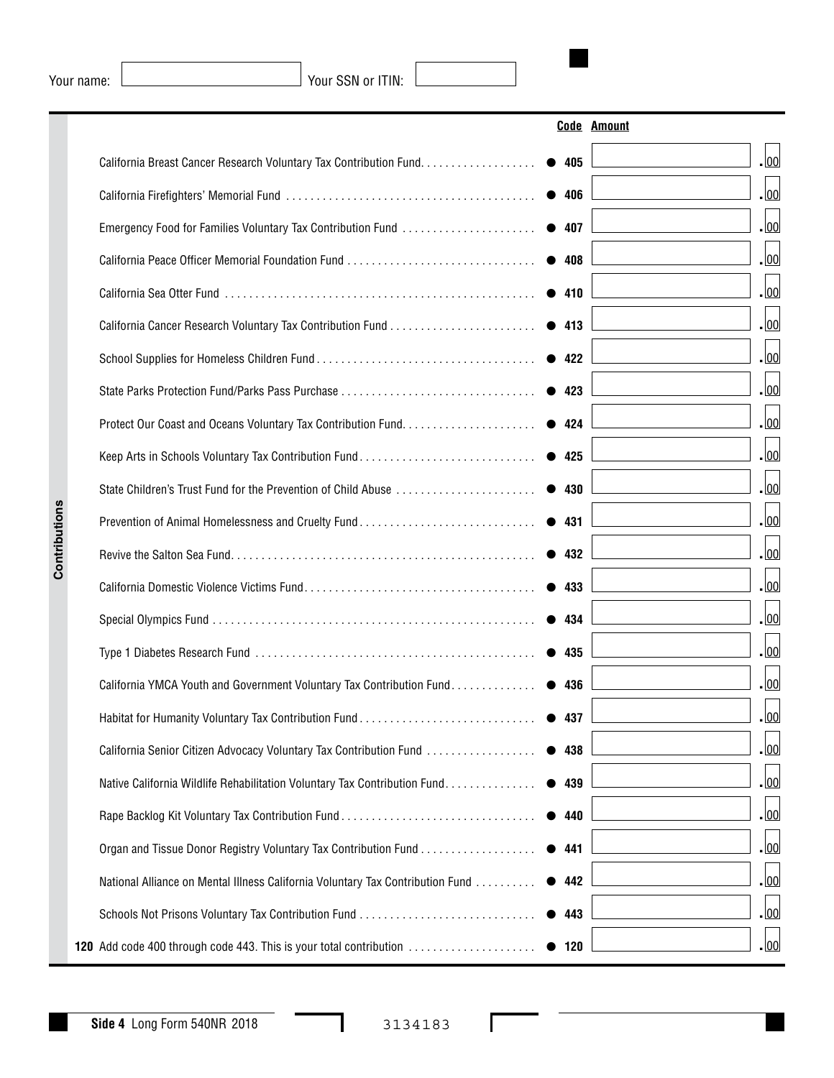Your name:  $\boxed{\qquad}$  Your SSN or ITIN:

|                                                                                |               | <b>Code Amount</b> |
|--------------------------------------------------------------------------------|---------------|--------------------|
| California Breast Cancer Research Voluntary Tax Contribution Fund.             | • 405         | .00                |
|                                                                                | • 406         | .00                |
| Emergency Food for Families Voluntary Tax Contribution Fund                    | $\bullet$ 407 | .00                |
|                                                                                | • 408         | .00                |
|                                                                                | • 410         | .00                |
|                                                                                | • 413         | .00                |
|                                                                                | • 422         | .00                |
|                                                                                | • 423         | .00                |
|                                                                                | • 424         | .00                |
| Keep Arts in Schools Voluntary Tax Contribution Fund                           | • 425         | .00                |
| State Children's Trust Fund for the Prevention of Child Abuse                  | • 430         | .00                |
| Prevention of Animal Homelessness and Cruelty Fund                             | • 431         | .00                |
|                                                                                | • 432         | .00                |
|                                                                                | • 433         | .00                |
|                                                                                | • 434         | .00                |
|                                                                                | • 435         | .00                |
| California YMCA Youth and Government Voluntary Tax Contribution Fund           | • 436         | .00                |
| Habitat for Humanity Voluntary Tax Contribution Fund                           | • 437         | 00                 |
| California Senior Citizen Advocacy Voluntary Tax Contribution Fund             | • 438         | <u>. lool</u>      |
| Native California Wildlife Rehabilitation Voluntary Tax Contribution Fund      | • 439         | - 00               |
|                                                                                | • 440         | - 00               |
| Organ and Tissue Donor Registry Voluntary Tax Contribution Fund                | 441           | - 00               |
| National Alliance on Mental Illness California Voluntary Tax Contribution Fund | • 442         | - 00               |
|                                                                                | 443           | - 00               |
| <b>120</b> Add code 400 through code 443. This is your total contribution      | • 120         | - 00               |

I